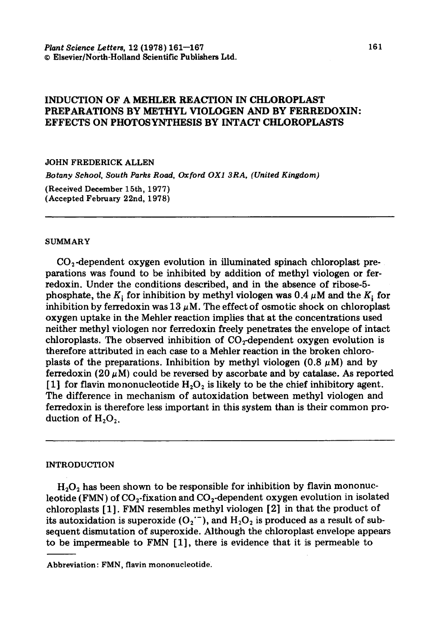# INDUCTION OF A MEHLER REACTION IN CHLOROPLAST PREPARATIONS BY METHYL VIOLOGEN AND BY FERREDOXIN: EFFECTS ON PHOTOSYNTHESIS BY INTACT CHLOROPLASTS

### JOHN FREDERICK ALLEN

*Botany School, South Parks Road, Oxford OX1 3RA, (United Kingdom)* 

**(Received December** 15tb, 1977) **(Accepted** February 22nd, 1978)

#### SUMMARY

 $CO<sub>2</sub>$ -dependent oxygen evolution in illuminated spinach chloroplast preparations was found to be inhibited by addition of methyl viologen or ferredoxin. Under the conditions described, and in the absence of ribose-5 phosphate, the K<sub>i</sub> for inhibition by methyl viologen was 0.4  $\mu$ M and the K<sub>i</sub> for inhibition by ferredoxin was  $13 \mu$ M. The effect of osmotic shock on chloroplast oxygen uptake in the Mehler reaction implies that at the concentrations used neither methyl viologen nor ferredoxin freely penetrates the envelope of intact chloroplasts. The observed inhibition of  $CO<sub>2</sub>$ -dependent oxygen evolution is therefore attributed in each case to a Mehler reaction in the broken chloroplasts of the preparations. Inhibition by methyl viologen (0.8  $\mu$ M) and by ferredoxin (20  $\mu$ M) could be reversed by ascorbate and by catalase. As reported [1] for flavin mononucleotide  $H_2O_2$  is likely to be the chief inhibitory agent. The difference in mechanism of autoxidation between methyl viologen and ferredoxin is therefore less important in this system than is their common production of  $H_2O_2$ .

#### INTRODUCTION

 $H<sub>2</sub>O<sub>2</sub>$  has been shown to be responsible for inhibition by flavin mononucleotide (FMN) of  $CO_2$ -fixation and  $CO_2$ -dependent oxygen evolution in isolated chloroplasts [1]. FMN resembles methyl viologen [2] in that the product of its autoxidation is superoxide  $(O_2^{\cdot -})$ , and  $H_2O_2$  is produced as a result of subsequent dismutation of superoxide. Although the chloroplast envelope appears to be impermeable to FMN [1], there is evidence that it is permeable to

Abbreviation: FMN, flavin mononucleotide.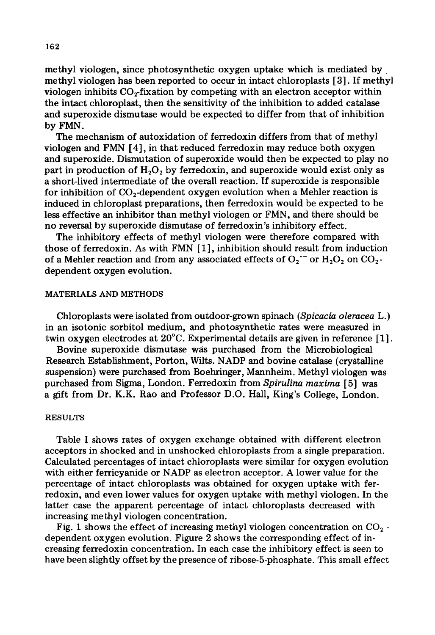methyl viologen, since photosynthetic oxygen uptake which is mediated by. methyl viologen has been reported to occur in intact chloroplasts [ 3]. If methyl viologen inhibits  $CO<sub>T</sub>$  fixation by competing with an electron acceptor within the intact chloroplast, then the sensitivity of the inhibition to added catalase and superoxide dismutase would be expected to differ from that of inhibition by FMN.

The mechanism of autoxidation of ferredoxin differs from that of methyl viologen and FMN [4], in that reduced ferredoxin may reduce both oxygen and superoxide. Dismutation of superoxide would then be expected to play no part in production of  $H_2O_2$  by ferredoxin, and superoxide would exist only as a short-lived intermediate of the overall reaction. If superoxide is responsible for inhibition of  $CO<sub>2</sub>$ -dependent oxygen evolution when a Mehler reaction is induced in chloroplast preparations, then ferredoxin would be expected to be less effective an inhibitor than methyl viologen or FMN, and there should be no reversal by superoxide dismutase of ferredoxin's inhibitory effect.

The inhibitory effects of methyl viologen were therefore compared with those of ferredoxin. As with FMN [1], inhibition should result from induction of a Mehler reaction and from any associated effects of  $O_2$ <sup>-</sup> or  $H_2O_2$  on  $CO_2$ dependent oxygen evolution.

#### MATERIALS AND METHODS

Chloroplasts were isolated from outdoor-grown spinach *(Spicacia oleracea* L.) in an isotonic sorbitol medium, and photosynthetic rates were measured in twin oxygen electrodes at 20°C. Experimental details are given in reference [1].

Bovine superoxide dismutase was purchased from the Microbiological Research Establishment, Porton, Wilts. NADP and bovine catalase (crystalline suspension) were purchased from Boehringer, Mannheim. Methyl viologen was purchased from Sigma, London. Ferredoxin from *Spirulina maxima* [ 5] was a gift from Dr. K.K. Rao and Professor D.O. Hall, King's College, London.

#### RESULTS

Table I shows rates of oxygen exchange obtained with different electron acceptors in shocked and in unshocked chloroplasts from a single preparation. Calculated percentages of intact chloroplasts were similar for oxygen evolution with either ferricyanide or NADP as electron acceptor. A lower value for the percentage of intact chloroplasts was obtained for oxygen uptake with ferredoxin, and even lower values for oxygen uptake with methyl viologen. In the latter case the apparent percentage of intact chloroplasts decreased with increasing methyl viologen concentration.

Fig. 1 shows the effect of increasing methyl viologen concentration on  $CO_2$ . dependent oxygen evolution. Figure 2 shows the corresponding effect of increasing ferredoxin concentration. In each case the inhibitory effect is seen to have been slightly offset by the presence of ribose-5-phosphate. This small effect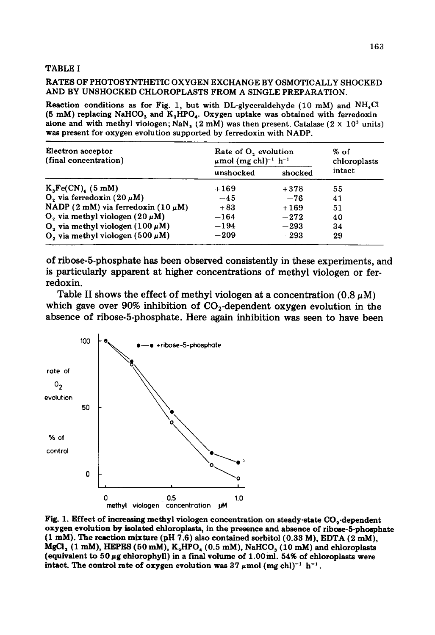### TABLE I

### RATES OF PHOTOSYNTHETIC OXYGEN EXCHANGE BY OSMOTICALLY SHOCKED AND BY UNSHOCKED CHLOROPLASTS FROM A SINGLE PREPARATION.

Reaction conditions as for Fig. 1, but with DL-glyceraldehyde (10 mM) and  $NH<sub>4</sub>Cl$ (5 mM) replacing NaHCO<sub>3</sub> and K<sub>2</sub>HPO<sub>4</sub>. Oxygen uptake was obtained with ferredoxin alone and with methyl viologen; NaN<sub>3</sub> (2 mM) was then present. Catalase (2  $\times$  10<sup>3</sup> units) was present for oxygen evolution supported by ferredoxin with NADP.

| Electron acceptor<br>(final concentration)       | Rate of O <sub>2</sub> evolution<br>$\mu$ mol (mg chl) <sup>-1</sup> h <sup>-1</sup> |         | % of<br>chloroplasts |
|--------------------------------------------------|--------------------------------------------------------------------------------------|---------|----------------------|
|                                                  | unshocked                                                                            | shocked | intact               |
| $K_3Fe(CN)$ (5 mM)                               | $+169$                                                                               | $+378$  | 55                   |
| O, via ferredoxin $(20 \mu M)$                   | $-45$                                                                                | $-76$   | 41                   |
| NADP (2 mM) via ferredoxin (10 $\mu$ M)          | $+83$                                                                                | $+169$  | 51                   |
| $O_2$ via methyl viologen (20 $\mu$ M)           | $-164$                                                                               | $-272$  | 40                   |
| O <sub>2</sub> via methyl viologen (100 $\mu$ M) | $-194$                                                                               | $-293$  | 34                   |
| $O_2$ via methyl viologen (500 $\mu$ M)          | $-209$                                                                               | $-293$  | 29                   |

of ribose-5-phosphate has been observed consistently in these experiments, and is particularly apparent at higher concentrations of methyl viologen or ferredoxin.

Table II shows the effect of methyl viologen at a concentration  $(0.8 \mu M)$ which gave over 90% inhibition of  $CO<sub>2</sub>$ -dependent oxygen evolution in the absence of ribose-5-phosphate. Here again inhibition was seen to have been



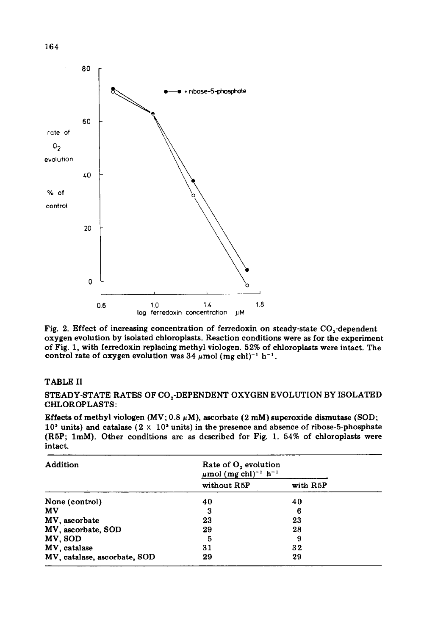

Fig. 2. Effect of increasing concentration of ferredoxin on steady-state  $CO_2$ -dependent oxygen evolution by isolated chloroplasts. Reaction conditions were as for the experiment of Fig. 1, with ferredoxin replacing methyl viologen. 52% of chloroplasts were intact. The control rate of oxygen evolution was 34  $\mu$ mol (mg chl)<sup>-1</sup> h<sup>-1</sup>.

### TABLE II

STEADY-STATE RATES OF  $CO_2$ -DEPENDENT OXYGEN EVOLUTION BY ISOLATED CHLOROPLASTS:

Effects of methyl viologen (MV;  $0.8 \mu$ M), ascorbate (2 mM) superoxide dismutase (SOD;  $10<sup>3</sup>$  units) and catalase (2  $\times$  10<sup>3</sup> units) in the presence and absence of ribose-5-phosphate (R5P; 1raM). Other conditions are as described for Fig. 1. 54% of chloroplasts were intact.

| Addition                     | Rate of O, evolution<br>$\mu$ mol (mg chl) <sup>-1</sup> h <sup>-1</sup> |          |  |
|------------------------------|--------------------------------------------------------------------------|----------|--|
|                              | without R5P                                                              | with R5P |  |
| None (control)               | 40                                                                       | 40       |  |
| MV                           | 3                                                                        | 6        |  |
| MV, ascorbate                | 23                                                                       | 23       |  |
| MV, ascorbate, SOD           | 29                                                                       | 28       |  |
| MV, SOD                      | 5                                                                        | 9        |  |
| MV, catalase                 | 31                                                                       | 32       |  |
| MV, catalase, ascorbate, SOD | 29                                                                       | 29       |  |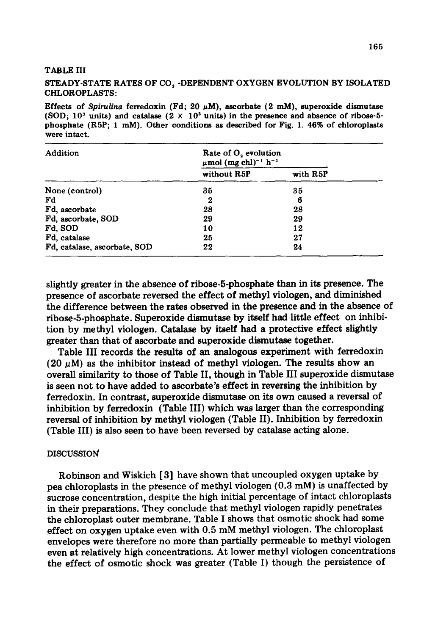### TABLE III

## STEADY-STATE RATES OF CO, -DEPENDENT OXYGEN EVOLUTION BY ISOLATED CHLOROPLASTS:

Effects of *Spirulina* ferredoxin (Fd; 20  $\mu$ M), ascorbate (2 mM), superoxide dismutase (SOD;  $10<sup>3</sup>$  units) and catalase  $(2 \times 10<sup>3</sup>$  units) in the presence and absence of ribose-5**phosphate** (R5P; 1 raM). Other conditions as described for Fig. 1. 46% of chloroplasts were intact.

| Addition                     | Rate of O <sub>2</sub> evolution<br>$\mu$ mol (mg chl) <sup>-1</sup> h <sup>-1</sup> |          |  |
|------------------------------|--------------------------------------------------------------------------------------|----------|--|
|                              | without R5P                                                                          | with R5P |  |
| None (control)               | 35                                                                                   | 35       |  |
| Fd                           | 2                                                                                    | 6        |  |
| Fd. ascorbate                | 28                                                                                   | 28       |  |
| Fd. ascorbate, SOD           | 29                                                                                   | 29       |  |
| Fd, SOD                      | 10                                                                                   | 12       |  |
| Fd. catalase                 | 25                                                                                   | 27       |  |
| Fd, catalase, ascorbate, SOD | 22                                                                                   | 24       |  |

slightly greater in the absence of ribose-5-phosphate than in its presence. The presence of ascorbate reversed the effect of methyl viologen, and diminished the difference between the rates observed in the presence and in the absence of ribose-5-phosphate. Superoxide dismutase by itself had little effect on inhibition by methyl viologen. Catalase by itself had a protective effect slightly greater than that of ascorbate and superoxide dismutase together.

Table III records the results of an analogous experiment with ferredoxin (20  $\mu$ M) as the inhibitor instead of methyl viologen. The results show an overall similarity to those of Table II, though in Table III superoxide dismutase is seen not to have added to ascorbate's effect in reversing the inhibition by ferredoxin. In contrast, superoxide dismutase on its own caused a reversal of inhibition by ferredoxin (Table III) which was larger than the corresponding reversal of inhibition by methyl viologen (Table II). Inhibition by ferredoxin (Table III) is also seen to have been reversed by catalase acting alone.

#### DISCUSSION'

Robinson and Wiskich [3] have shown that uncoupled oxygen uptake by pea chloroplasts in the presence of methyl viologen (0.3 mM) is unaffected by sucrose concentration, despite the high initial percentage of intact chloroplasts in their preparations. They conclude that methyl viologen rapidly penetrates the chloroplast outer membrane. Table I shows that osmotic shock had some effect on oxygen uptake even with 0.5 mM methyl viologen. The chloroplast envelopes were therefore no more than partially permeable to methyl viologen even at relatively high concentrations. At lower methyl viologen concentrations the effect of osmotic shock was greater (Table I) though the persistence of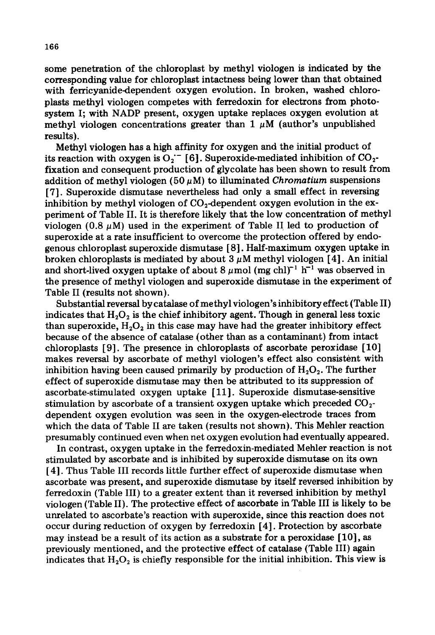some penetration of the chloroplast by methyl viologen is indicated by the corresponding value for chloroplast intactness being lower than that obtained with ferricyanide-dependent oxygen evolution. In broken, washed chloroplasts methyl viologen competes with ferredoxin for electrons from photosystem I; with NADP present, oxygen uptake replaces oxygen evolution at methyl viologen concentrations greater than  $1 \mu M$  (author's unpublished results).

Methyl viologen has a high affinity for oxygen and the initial product of its reaction with oxygen is  $O_2$ <sup>-</sup> [6]. Superoxide-mediated inhibition of  $CO_2$ fixation and consequent production of glycolate has been shown to result from addition of methyl viologen (50 $~\mu$ M) to illuminated *Chromatium* suspensions [7]. Superoxide dismutase nevertheless had only a small effect in reversing inhibition by methyl viologen of  $CO<sub>2</sub>$ -dependent oxygen evolution in the experiment of Table II. It is therefore likely that the low concentration of methyl viologen (0.8  $\mu$ M) used in the experiment of Table II led to production of superoxide at a rate insufficient to overcome the protection offered by endogenous chloroplast superoxide dismutase [8]. Half-maximum oxygen uptake in broken chloroplasts is mediated by about  $3 \mu$ M methyl viologen [4]. An initial and short-lived oxygen uptake of about 8  $\mu$  mol (mg chl)<sup>-1</sup> h<sup>-1</sup> was observed in the presence of methyl viologen and superoxide dismutase in the experiment of Table II (results not shown).

Substantial reversal by catalase of methyl viologen's inhibitory effect (Table II) indicates that  $H_2O_2$  is the chief inhibitory agent. Though in general less toxic than superoxide,  $H_2O_2$  in this case may have had the greater inhibitory effect because of the absence of catalase (other than as a contaminant) from intact chloroplasts [9]. The presence in chloroplasts of ascorbate peroxidase [10] makes reversal by ascorbate of methyl viologen's effect also consistent with inhibition having been caused primarily by production of  $H_2O_2$ . The further effect of superoxide dismutase may then be attributed to its suppression of ascorbate-stimulated oxygen uptake [11]. Superoxide dismutase-sensitive stimulation by ascorbate of a transient oxygen uptake which preceded  $CO<sub>2</sub>$ dependent oxygen evolution was seen in the oxygen-electrode traces from which the data of Table II are taken (results not shown). This Mehler reaction presumably continued even when net oxygen evolution had eventually appeared.

In contrast, oxygen uptake in the ferredoxin-mediated Mehler reaction is not stimulated by ascorbate and is inhibited by superoxide dismutase on its own [4]. Thus Table III records little further effect of superoxide dismutase when ascorbate was present, and superoxide dismutase by itself reversed inhibition by ferredoxin (Table III) to a greater extent than it reversed inhibition by methyl viologen (Table II). The protective effect of ascorbate in Table III is likely to be unrelated to ascorbate's reaction with superoxide, since this reaction does not occur during reduction of oxygen by ferredoxin [4]. Protection by ascorbate may instead be a result of its action as a substrate for a peroxidase [10], as previously mentioned, and the protective effect of catalase (Table III) again indicates that  $H_2O_2$  is chiefly responsible for the initial inhibition. This view is